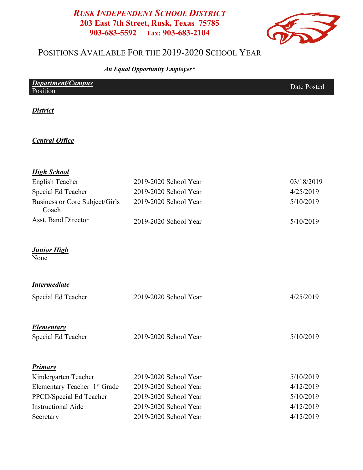### RUSK INDEPENDENT SCHOOL DISTRICT 203 East 7th Street, Rusk, Texas 75785 903-683-5592 Fax: 903-683-2104



## POSITIONS AVAILABLE FOR THE 2019-2020 SCHOOL YEAR

An Equal Opportunity Employer\*

| <b>Department/Campus</b> | Date Posted |
|--------------------------|-------------|
| Position                 |             |
|                          |             |

#### **District**

#### **Central Office**

| <b>High School</b>                       |                       |            |
|------------------------------------------|-----------------------|------------|
| <b>English Teacher</b>                   | 2019-2020 School Year | 03/18/2019 |
| Special Ed Teacher                       | 2019-2020 School Year | 4/25/2019  |
| Business or Core Subject/Girls<br>Coach  | 2019-2020 School Year | 5/10/2019  |
| <b>Asst. Band Director</b>               | 2019-2020 School Year | 5/10/2019  |
| <b>Junior High</b><br>None               |                       |            |
| <b>Intermediate</b>                      |                       |            |
| Special Ed Teacher                       | 2019-2020 School Year | 4/25/2019  |
| <b>Elementary</b>                        |                       |            |
| Special Ed Teacher                       | 2019-2020 School Year | 5/10/2019  |
| Primary                                  |                       |            |
| Kindergarten Teacher                     | 2019-2020 School Year | 5/10/2019  |
| Elementary Teacher-1 <sup>st</sup> Grade | 2019-2020 School Year | 4/12/2019  |
| PPCD/Special Ed Teacher                  | 2019-2020 School Year | 5/10/2019  |
| <b>Instructional Aide</b>                | 2019-2020 School Year | 4/12/2019  |
| Secretary                                | 2019-2020 School Year | 4/12/2019  |